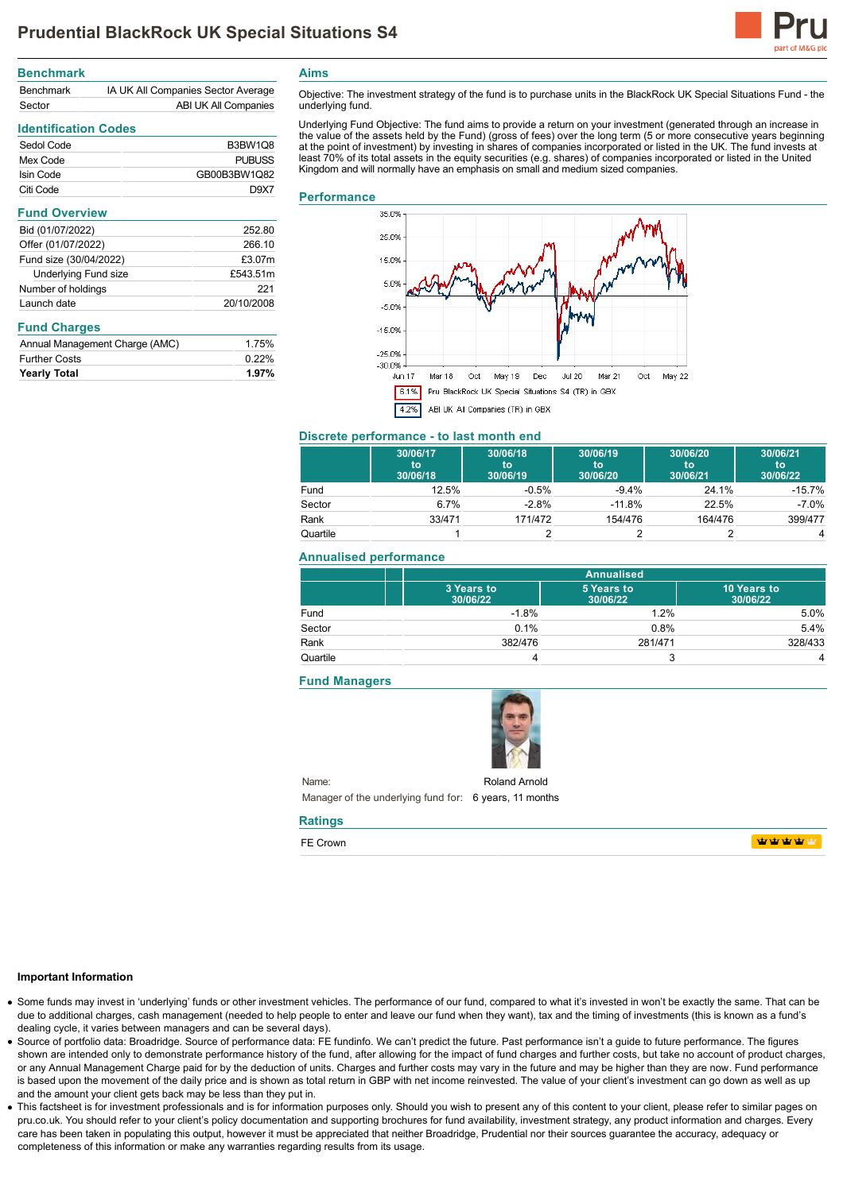

| <b>Benchmark</b> |                                    |
|------------------|------------------------------------|
| <b>Benchmark</b> | IA UK All Companies Sector Average |
| Sector           | ABI UK All Companies               |

# **Identification Codes**

| Sedol Code | <b>B3BW1Q8</b> |
|------------|----------------|
| Mex Code   | <b>PUBUSS</b>  |
| Isin Code  | GB00B3BW1Q82   |
| Citi Code  | D9X7           |

#### **Fund Overview**

| Bid (01/07/2022)            | 252.80     |
|-----------------------------|------------|
| Offer (01/07/2022)          | 266.10     |
| Fund size (30/04/2022)      | £3.07m     |
| <b>Underlying Fund size</b> | £543.51m   |
| Number of holdings          | 221        |
| Launch date                 | 20/10/2008 |
|                             |            |

# **Fund Charges**

| Annual Management Charge (AMC) | 1.75%    |
|--------------------------------|----------|
| <b>Further Costs</b>           | $0.22\%$ |
| <b>Yearly Total</b>            | 1.97%    |

**Aims**

Objective: The investment strategy of the fund is to purchase units in the BlackRock UK Special Situations Fund - the underlying fund.

Underlying Fund Objective: The fund aims to provide a return on your investment (generated through an increase in the value of the assets held by the Fund) (gross of fees) over the long term (5 or more consecutive years beginning at the point of investment) by investing in shares of companies incorporated or listed in the UK. The fund invests at least 70% of its total assets in the equity securities (e.g. shares) of companies incorporated or listed in the United Kingdom and will normally have an emphasis on small and medium sized companies.

### **Performance**



#### **Discrete performance - to last month end**

|          | 30/06/17<br>to<br>30/06/18 | 30/06/18<br>to<br>30/06/19 | 30/06/19<br>to<br>30/06/20 | 30/06/20<br>to<br>30/06/21 | 30/06/21<br>to<br>30/06/22 |
|----------|----------------------------|----------------------------|----------------------------|----------------------------|----------------------------|
| Fund     | 12.5%                      | $-0.5%$                    | $-9.4%$                    | 24.1%                      | $-15.7%$                   |
| Sector   | 6.7%                       | $-2.8%$                    | $-11.8%$                   | 22.5%                      | $-7.0\%$                   |
| Rank     | 33/471                     | 171/472                    | 154/476                    | 164/476                    | 399/477                    |
| Quartile |                            |                            |                            |                            | 4                          |

### **Annualised performance**

|          | <b>Annualised</b>      |                        |                         |
|----------|------------------------|------------------------|-------------------------|
|          | 3 Years to<br>30/06/22 | 5 Years to<br>30/06/22 | 10 Years to<br>30/06/22 |
| Fund     | $-1.8%$                | 1.2%                   | 5.0%                    |
| Sector   | 0.1%                   | 0.8%                   | 5.4%                    |
| Rank     | 382/476                | 281/471                | 328/433                 |
| Quartile |                        |                        | 4                       |

### **Fund Managers**



Name: Manager of the underlying fund for: 6 years, 11 months Roland Arnold

# **Ratings**

FE Crown

**WWWW** 

#### **Important Information**

- Some funds may invest in 'underlying' funds or other investment vehicles. The performance of our fund, compared to what it's invested in won't be exactly the same. That can be due to additional charges, cash management (needed to help people to enter and leave our fund when they want), tax and the timing of investments (this is known as a fund's dealing cycle, it varies between managers and can be several days).
- Source of portfolio data: Broadridge. Source of performance data: FE fundinfo. We can't predict the future. Past performance isn't a guide to future performance. The figures shown are intended only to demonstrate performance history of the fund, after allowing for the impact of fund charges and further costs, but take no account of product charges, or any Annual Management Charge paid for by the deduction of units. Charges and further costs may vary in the future and may be higher than they are now. Fund performance is based upon the movement of the daily price and is shown as total return in GBP with net income reinvested. The value of your client's investment can go down as well as up and the amount your client gets back may be less than they put in.
- This factsheet is for investment professionals and is for information purposes only. Should you wish to present any of this content to your client, please refer to similar pages on pru.co.uk. You should refer to your client's policy documentation and supporting brochures for fund availability, investment strategy, any product information and charges. Every care has been taken in populating this output, however it must be appreciated that neither Broadridge. Prudential nor their sources guarantee the accuracy, adequacy or completeness of this information or make any warranties regarding results from its usage.